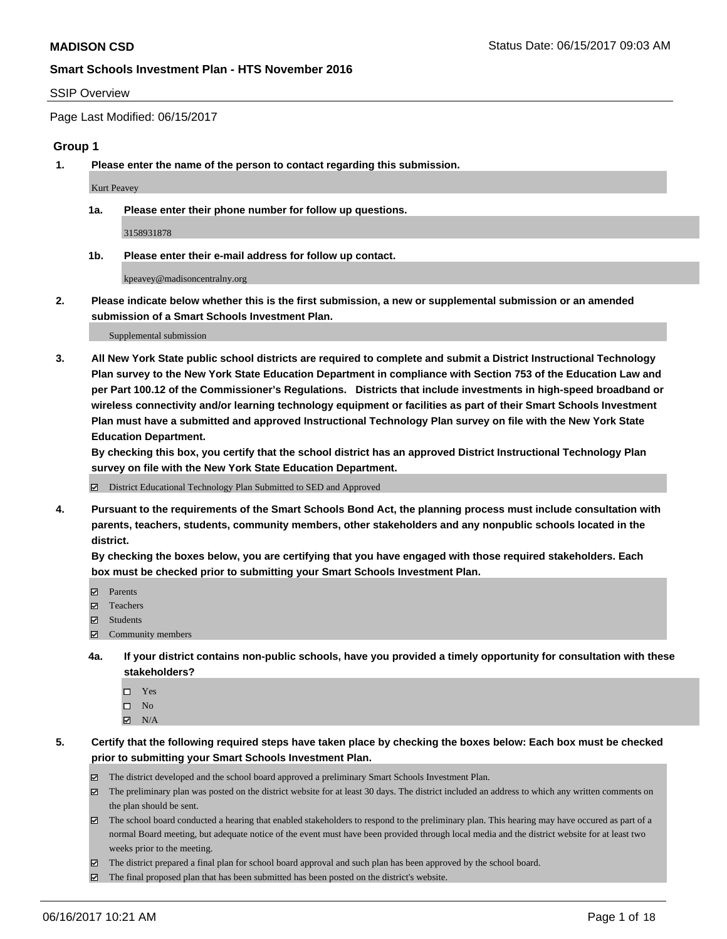#### SSIP Overview

Page Last Modified: 06/15/2017

#### **Group 1**

**1. Please enter the name of the person to contact regarding this submission.**

Kurt Peavey

**1a. Please enter their phone number for follow up questions.**

3158931878

**1b. Please enter their e-mail address for follow up contact.**

kpeavey@madisoncentralny.org

**2. Please indicate below whether this is the first submission, a new or supplemental submission or an amended submission of a Smart Schools Investment Plan.**

Supplemental submission

**3. All New York State public school districts are required to complete and submit a District Instructional Technology Plan survey to the New York State Education Department in compliance with Section 753 of the Education Law and per Part 100.12 of the Commissioner's Regulations. Districts that include investments in high-speed broadband or wireless connectivity and/or learning technology equipment or facilities as part of their Smart Schools Investment Plan must have a submitted and approved Instructional Technology Plan survey on file with the New York State Education Department.** 

**By checking this box, you certify that the school district has an approved District Instructional Technology Plan survey on file with the New York State Education Department.**

District Educational Technology Plan Submitted to SED and Approved

**4. Pursuant to the requirements of the Smart Schools Bond Act, the planning process must include consultation with parents, teachers, students, community members, other stakeholders and any nonpublic schools located in the district.** 

**By checking the boxes below, you are certifying that you have engaged with those required stakeholders. Each box must be checked prior to submitting your Smart Schools Investment Plan.**

- **マ** Parents
- □ Teachers
- Students
- $\Xi$  Community members
- **4a. If your district contains non-public schools, have you provided a timely opportunity for consultation with these stakeholders?**
	- Yes
	- $\hfill \square$  No
	- $\boxtimes$  N/A
- **5. Certify that the following required steps have taken place by checking the boxes below: Each box must be checked prior to submitting your Smart Schools Investment Plan.**
	- The district developed and the school board approved a preliminary Smart Schools Investment Plan.
	- $\boxtimes$  The preliminary plan was posted on the district website for at least 30 days. The district included an address to which any written comments on the plan should be sent.
	- $\boxtimes$  The school board conducted a hearing that enabled stakeholders to respond to the preliminary plan. This hearing may have occured as part of a normal Board meeting, but adequate notice of the event must have been provided through local media and the district website for at least two weeks prior to the meeting.
	- The district prepared a final plan for school board approval and such plan has been approved by the school board.
	- $\boxtimes$  The final proposed plan that has been submitted has been posted on the district's website.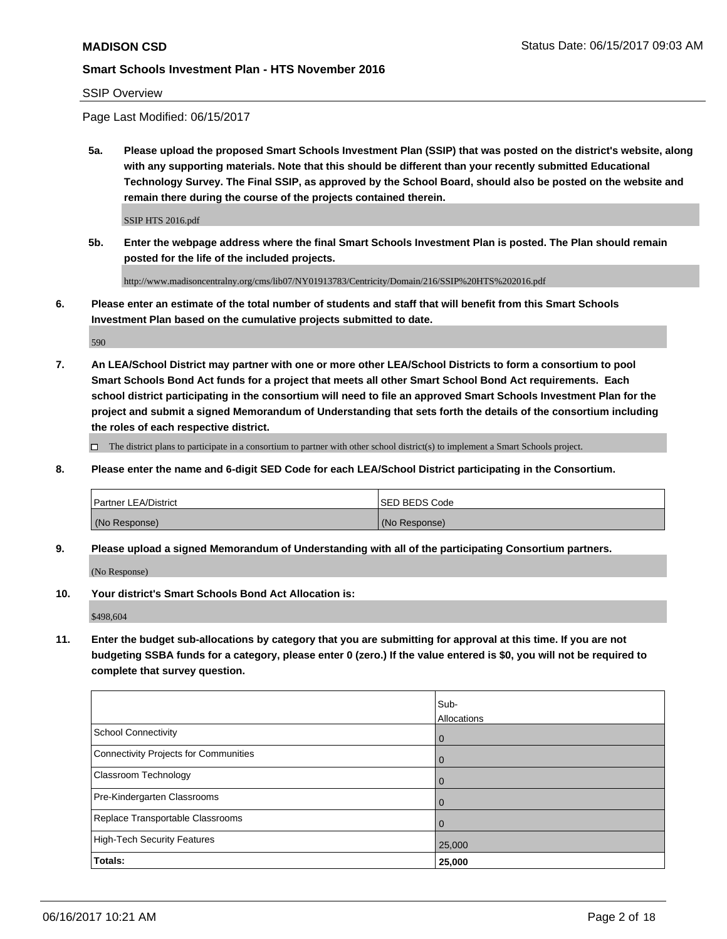### SSIP Overview

Page Last Modified: 06/15/2017

**5a. Please upload the proposed Smart Schools Investment Plan (SSIP) that was posted on the district's website, along with any supporting materials. Note that this should be different than your recently submitted Educational Technology Survey. The Final SSIP, as approved by the School Board, should also be posted on the website and remain there during the course of the projects contained therein.**

SSIP HTS 2016.pdf

**5b. Enter the webpage address where the final Smart Schools Investment Plan is posted. The Plan should remain posted for the life of the included projects.**

http://www.madisoncentralny.org/cms/lib07/NY01913783/Centricity/Domain/216/SSIP%20HTS%202016.pdf

**6. Please enter an estimate of the total number of students and staff that will benefit from this Smart Schools Investment Plan based on the cumulative projects submitted to date.**

590

**7. An LEA/School District may partner with one or more other LEA/School Districts to form a consortium to pool Smart Schools Bond Act funds for a project that meets all other Smart School Bond Act requirements. Each school district participating in the consortium will need to file an approved Smart Schools Investment Plan for the project and submit a signed Memorandum of Understanding that sets forth the details of the consortium including the roles of each respective district.**

 $\Box$  The district plans to participate in a consortium to partner with other school district(s) to implement a Smart Schools project.

**8. Please enter the name and 6-digit SED Code for each LEA/School District participating in the Consortium.**

| l Partner LEA/District | <b>ISED BEDS Code</b> |
|------------------------|-----------------------|
| (No Response)          | (No Response)         |

**9. Please upload a signed Memorandum of Understanding with all of the participating Consortium partners.**

(No Response)

**10. Your district's Smart Schools Bond Act Allocation is:**

\$498,604

**11. Enter the budget sub-allocations by category that you are submitting for approval at this time. If you are not budgeting SSBA funds for a category, please enter 0 (zero.) If the value entered is \$0, you will not be required to complete that survey question.**

|                                       | Sub-<br>Allocations |
|---------------------------------------|---------------------|
| <b>School Connectivity</b>            | $\overline{0}$      |
| Connectivity Projects for Communities | $\overline{0}$      |
| Classroom Technology                  | $\mathbf 0$         |
| Pre-Kindergarten Classrooms           | $\overline{0}$      |
| Replace Transportable Classrooms      | $\mathbf 0$         |
| <b>High-Tech Security Features</b>    | 25,000              |
| Totals:                               | 25,000              |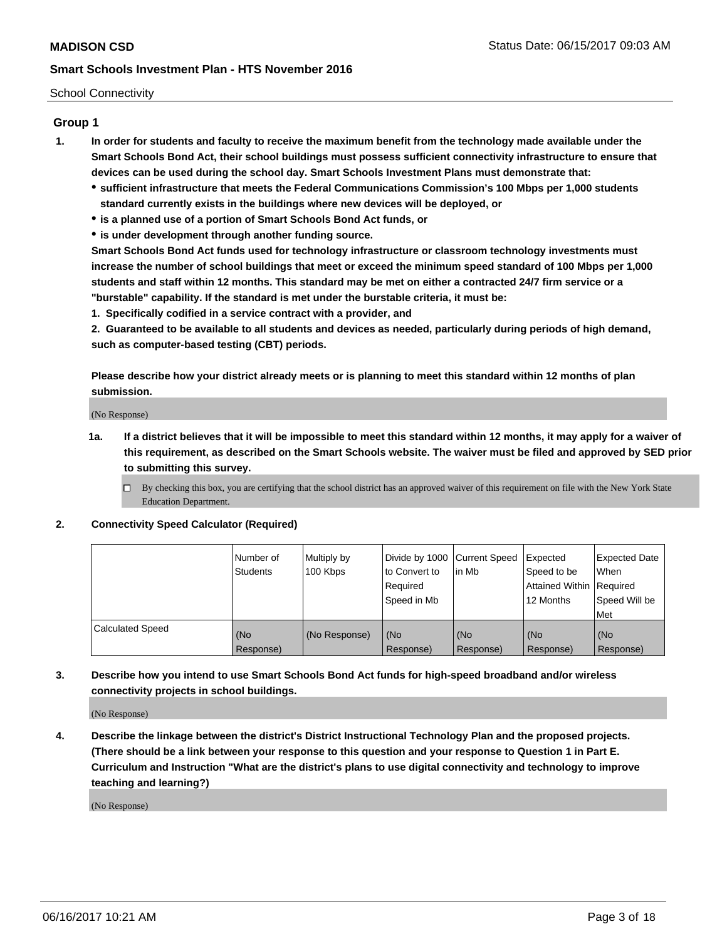#### School Connectivity

# **Group 1**

- **1. In order for students and faculty to receive the maximum benefit from the technology made available under the Smart Schools Bond Act, their school buildings must possess sufficient connectivity infrastructure to ensure that devices can be used during the school day. Smart Schools Investment Plans must demonstrate that:**
	- **sufficient infrastructure that meets the Federal Communications Commission's 100 Mbps per 1,000 students standard currently exists in the buildings where new devices will be deployed, or**
	- **is a planned use of a portion of Smart Schools Bond Act funds, or**
	- **is under development through another funding source.**

**Smart Schools Bond Act funds used for technology infrastructure or classroom technology investments must increase the number of school buildings that meet or exceed the minimum speed standard of 100 Mbps per 1,000 students and staff within 12 months. This standard may be met on either a contracted 24/7 firm service or a "burstable" capability. If the standard is met under the burstable criteria, it must be:**

**1. Specifically codified in a service contract with a provider, and**

**2. Guaranteed to be available to all students and devices as needed, particularly during periods of high demand, such as computer-based testing (CBT) periods.**

**Please describe how your district already meets or is planning to meet this standard within 12 months of plan submission.**

(No Response)

- **1a. If a district believes that it will be impossible to meet this standard within 12 months, it may apply for a waiver of this requirement, as described on the Smart Schools website. The waiver must be filed and approved by SED prior to submitting this survey.**
	- By checking this box, you are certifying that the school district has an approved waiver of this requirement on file with the New York State Education Department.

#### **2. Connectivity Speed Calculator (Required)**

|                         | I Number of<br><b>Students</b> | Multiply by<br>100 Kbps | Divide by 1000   Current Speed<br>to Convert to | lin Mb    | Expected<br>Speed to be  | <b>Expected Date</b><br>When |
|-------------------------|--------------------------------|-------------------------|-------------------------------------------------|-----------|--------------------------|------------------------------|
|                         |                                |                         | Required                                        |           | Attained Within Required |                              |
|                         |                                |                         | Speed in Mb                                     |           | 12 Months                | Speed Will be                |
|                         |                                |                         |                                                 |           |                          | Met                          |
| <b>Calculated Speed</b> | (No                            | (No Response)           | (No                                             | (No       | (No                      | (No                          |
|                         | Response)                      |                         | Response)                                       | Response) | Response)                | Response)                    |

**3. Describe how you intend to use Smart Schools Bond Act funds for high-speed broadband and/or wireless connectivity projects in school buildings.**

(No Response)

**4. Describe the linkage between the district's District Instructional Technology Plan and the proposed projects. (There should be a link between your response to this question and your response to Question 1 in Part E. Curriculum and Instruction "What are the district's plans to use digital connectivity and technology to improve teaching and learning?)**

(No Response)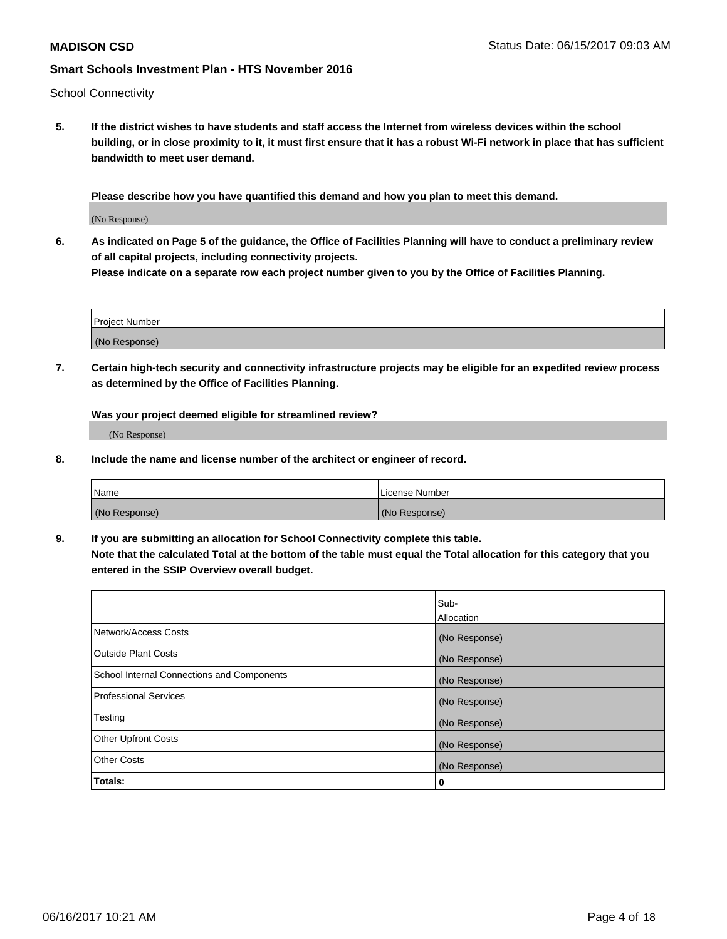School Connectivity

**5. If the district wishes to have students and staff access the Internet from wireless devices within the school building, or in close proximity to it, it must first ensure that it has a robust Wi-Fi network in place that has sufficient bandwidth to meet user demand.**

**Please describe how you have quantified this demand and how you plan to meet this demand.**

(No Response)

**6. As indicated on Page 5 of the guidance, the Office of Facilities Planning will have to conduct a preliminary review of all capital projects, including connectivity projects.**

**Please indicate on a separate row each project number given to you by the Office of Facilities Planning.**

| <b>Project Number</b> |  |
|-----------------------|--|
| (No Response)         |  |

**7. Certain high-tech security and connectivity infrastructure projects may be eligible for an expedited review process as determined by the Office of Facilities Planning.**

**Was your project deemed eligible for streamlined review?**

(No Response)

**8. Include the name and license number of the architect or engineer of record.**

| <b>Name</b>   | l License Number |
|---------------|------------------|
| (No Response) | (No Response)    |

**9. If you are submitting an allocation for School Connectivity complete this table. Note that the calculated Total at the bottom of the table must equal the Total allocation for this category that you entered in the SSIP Overview overall budget.** 

|                                                   | Sub-              |
|---------------------------------------------------|-------------------|
|                                                   | <b>Allocation</b> |
| Network/Access Costs                              | (No Response)     |
| Outside Plant Costs                               | (No Response)     |
| <b>School Internal Connections and Components</b> | (No Response)     |
| <b>Professional Services</b>                      | (No Response)     |
| Testing                                           | (No Response)     |
| <b>Other Upfront Costs</b>                        | (No Response)     |
| <b>Other Costs</b>                                | (No Response)     |
| Totals:                                           | 0                 |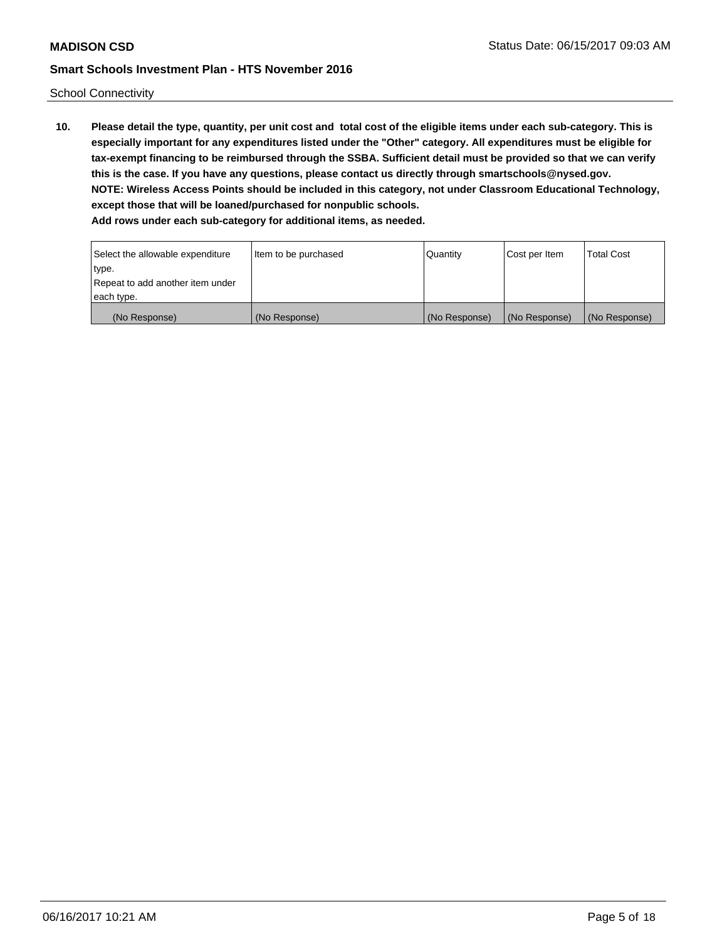School Connectivity

**10. Please detail the type, quantity, per unit cost and total cost of the eligible items under each sub-category. This is especially important for any expenditures listed under the "Other" category. All expenditures must be eligible for tax-exempt financing to be reimbursed through the SSBA. Sufficient detail must be provided so that we can verify this is the case. If you have any questions, please contact us directly through smartschools@nysed.gov. NOTE: Wireless Access Points should be included in this category, not under Classroom Educational Technology, except those that will be loaned/purchased for nonpublic schools. Add rows under each sub-category for additional items, as needed.**

| Select the allowable expenditure | Item to be purchased | Quantity      | Cost per Item | Total Cost    |
|----------------------------------|----------------------|---------------|---------------|---------------|
| type.                            |                      |               |               |               |
| Repeat to add another item under |                      |               |               |               |
| each type.                       |                      |               |               |               |
| (No Response)                    | (No Response)        | (No Response) | (No Response) | (No Response) |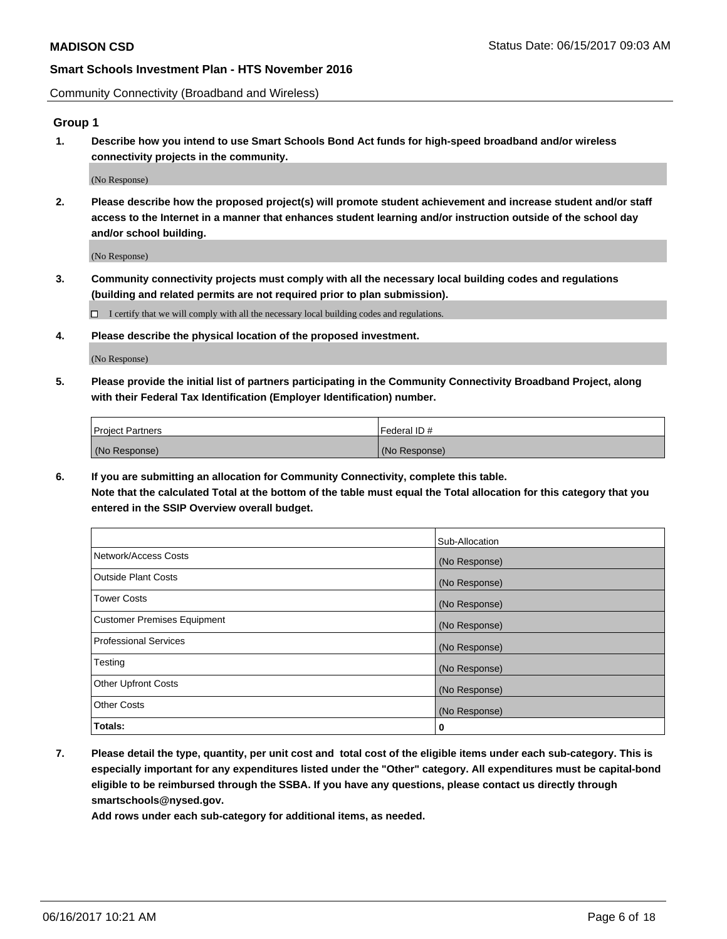Community Connectivity (Broadband and Wireless)

## **Group 1**

**1. Describe how you intend to use Smart Schools Bond Act funds for high-speed broadband and/or wireless connectivity projects in the community.**

(No Response)

**2. Please describe how the proposed project(s) will promote student achievement and increase student and/or staff access to the Internet in a manner that enhances student learning and/or instruction outside of the school day and/or school building.**

(No Response)

**3. Community connectivity projects must comply with all the necessary local building codes and regulations (building and related permits are not required prior to plan submission).**

 $\Box$  I certify that we will comply with all the necessary local building codes and regulations.

**4. Please describe the physical location of the proposed investment.**

(No Response)

**5. Please provide the initial list of partners participating in the Community Connectivity Broadband Project, along with their Federal Tax Identification (Employer Identification) number.**

| <b>Project Partners</b> | Federal ID#   |
|-------------------------|---------------|
| (No Response)           | (No Response) |

**6. If you are submitting an allocation for Community Connectivity, complete this table. Note that the calculated Total at the bottom of the table must equal the Total allocation for this category that you entered in the SSIP Overview overall budget.**

|                                    | Sub-Allocation |
|------------------------------------|----------------|
| Network/Access Costs               | (No Response)  |
| Outside Plant Costs                | (No Response)  |
| <b>Tower Costs</b>                 | (No Response)  |
| <b>Customer Premises Equipment</b> | (No Response)  |
| Professional Services              | (No Response)  |
| Testing                            | (No Response)  |
| <b>Other Upfront Costs</b>         | (No Response)  |
| <b>Other Costs</b>                 | (No Response)  |
| Totals:                            | 0              |

**7. Please detail the type, quantity, per unit cost and total cost of the eligible items under each sub-category. This is especially important for any expenditures listed under the "Other" category. All expenditures must be capital-bond eligible to be reimbursed through the SSBA. If you have any questions, please contact us directly through smartschools@nysed.gov.**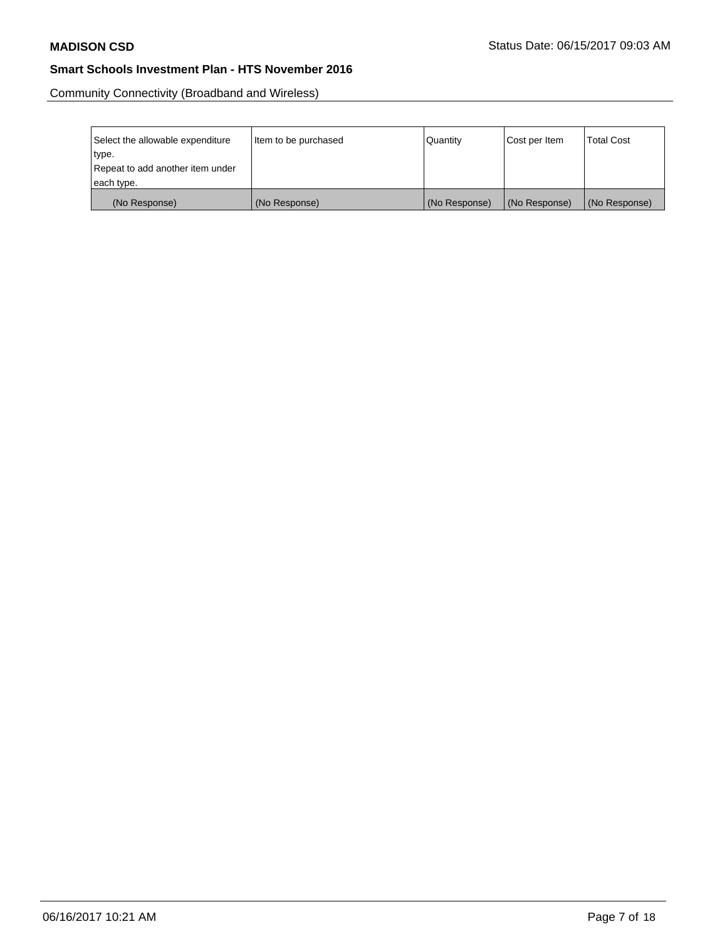Community Connectivity (Broadband and Wireless)

| Select the allowable expenditure | Item to be purchased | Quantity      | Cost per Item | <b>Total Cost</b> |
|----------------------------------|----------------------|---------------|---------------|-------------------|
| type.                            |                      |               |               |                   |
| Repeat to add another item under |                      |               |               |                   |
| each type.                       |                      |               |               |                   |
| (No Response)                    | (No Response)        | (No Response) | (No Response) | (No Response)     |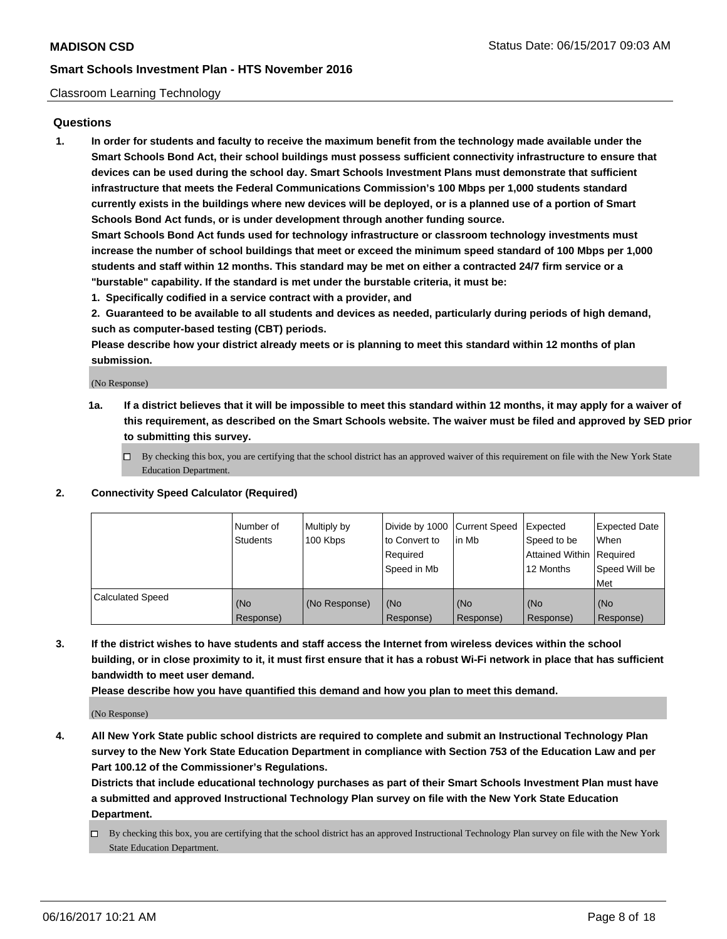#### Classroom Learning Technology

### **Questions**

**1. In order for students and faculty to receive the maximum benefit from the technology made available under the Smart Schools Bond Act, their school buildings must possess sufficient connectivity infrastructure to ensure that devices can be used during the school day. Smart Schools Investment Plans must demonstrate that sufficient infrastructure that meets the Federal Communications Commission's 100 Mbps per 1,000 students standard currently exists in the buildings where new devices will be deployed, or is a planned use of a portion of Smart Schools Bond Act funds, or is under development through another funding source.**

**Smart Schools Bond Act funds used for technology infrastructure or classroom technology investments must increase the number of school buildings that meet or exceed the minimum speed standard of 100 Mbps per 1,000 students and staff within 12 months. This standard may be met on either a contracted 24/7 firm service or a "burstable" capability. If the standard is met under the burstable criteria, it must be:**

**1. Specifically codified in a service contract with a provider, and**

**2. Guaranteed to be available to all students and devices as needed, particularly during periods of high demand, such as computer-based testing (CBT) periods.**

**Please describe how your district already meets or is planning to meet this standard within 12 months of plan submission.**

(No Response)

- **1a. If a district believes that it will be impossible to meet this standard within 12 months, it may apply for a waiver of this requirement, as described on the Smart Schools website. The waiver must be filed and approved by SED prior to submitting this survey.**
	- $\Box$  By checking this box, you are certifying that the school district has an approved waiver of this requirement on file with the New York State Education Department.

#### **2. Connectivity Speed Calculator (Required)**

|                         | Number of<br><b>Students</b> | Multiply by<br>100 Kbps | Divide by 1000 Current Speed<br>to Convert to<br>Required<br>l Speed in Mb | in Mb                        | Expected<br>Speed to be<br>Attained Within   Required<br>12 Months | <b>Expected Date</b><br><b>When</b><br>Speed Will be<br>Met |
|-------------------------|------------------------------|-------------------------|----------------------------------------------------------------------------|------------------------------|--------------------------------------------------------------------|-------------------------------------------------------------|
| <b>Calculated Speed</b> | (No<br>Response)             | (No Response)           | l (No<br>Response)                                                         | KN <sub>O</sub><br>Response) | (No<br>Response)                                                   | (No<br>Response)                                            |

**3. If the district wishes to have students and staff access the Internet from wireless devices within the school building, or in close proximity to it, it must first ensure that it has a robust Wi-Fi network in place that has sufficient bandwidth to meet user demand.**

**Please describe how you have quantified this demand and how you plan to meet this demand.**

(No Response)

**4. All New York State public school districts are required to complete and submit an Instructional Technology Plan survey to the New York State Education Department in compliance with Section 753 of the Education Law and per Part 100.12 of the Commissioner's Regulations.**

**Districts that include educational technology purchases as part of their Smart Schools Investment Plan must have a submitted and approved Instructional Technology Plan survey on file with the New York State Education Department.**

By checking this box, you are certifying that the school district has an approved Instructional Technology Plan survey on file with the New York State Education Department.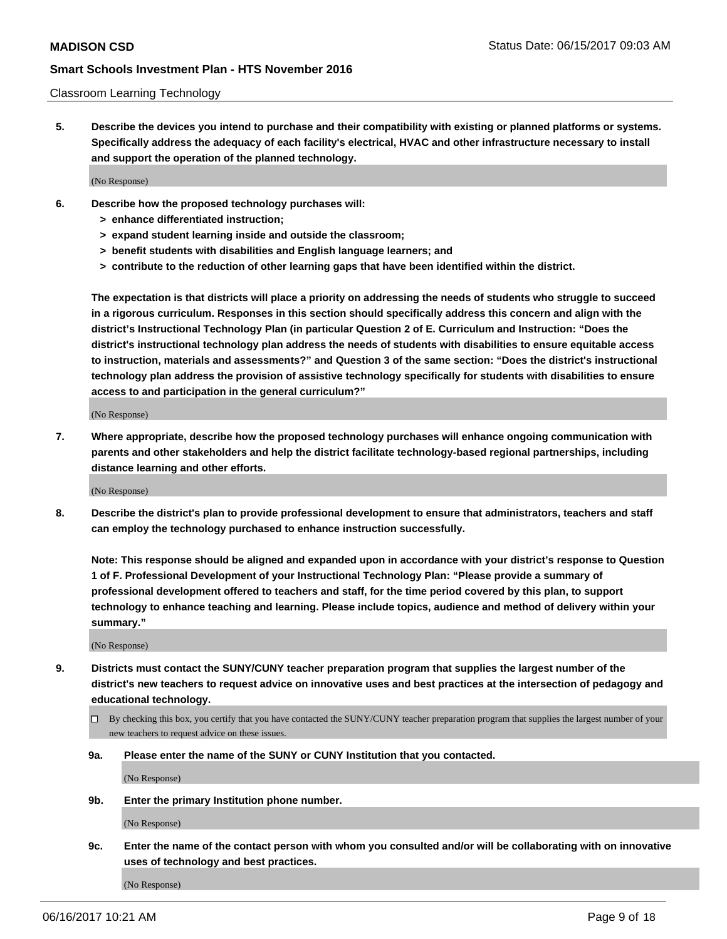#### Classroom Learning Technology

**5. Describe the devices you intend to purchase and their compatibility with existing or planned platforms or systems. Specifically address the adequacy of each facility's electrical, HVAC and other infrastructure necessary to install and support the operation of the planned technology.**

(No Response)

- **6. Describe how the proposed technology purchases will:**
	- **> enhance differentiated instruction;**
	- **> expand student learning inside and outside the classroom;**
	- **> benefit students with disabilities and English language learners; and**
	- **> contribute to the reduction of other learning gaps that have been identified within the district.**

**The expectation is that districts will place a priority on addressing the needs of students who struggle to succeed in a rigorous curriculum. Responses in this section should specifically address this concern and align with the district's Instructional Technology Plan (in particular Question 2 of E. Curriculum and Instruction: "Does the district's instructional technology plan address the needs of students with disabilities to ensure equitable access to instruction, materials and assessments?" and Question 3 of the same section: "Does the district's instructional technology plan address the provision of assistive technology specifically for students with disabilities to ensure access to and participation in the general curriculum?"**

(No Response)

**7. Where appropriate, describe how the proposed technology purchases will enhance ongoing communication with parents and other stakeholders and help the district facilitate technology-based regional partnerships, including distance learning and other efforts.**

(No Response)

**8. Describe the district's plan to provide professional development to ensure that administrators, teachers and staff can employ the technology purchased to enhance instruction successfully.**

**Note: This response should be aligned and expanded upon in accordance with your district's response to Question 1 of F. Professional Development of your Instructional Technology Plan: "Please provide a summary of professional development offered to teachers and staff, for the time period covered by this plan, to support technology to enhance teaching and learning. Please include topics, audience and method of delivery within your summary."**

(No Response)

- **9. Districts must contact the SUNY/CUNY teacher preparation program that supplies the largest number of the district's new teachers to request advice on innovative uses and best practices at the intersection of pedagogy and educational technology.**
	- By checking this box, you certify that you have contacted the SUNY/CUNY teacher preparation program that supplies the largest number of your new teachers to request advice on these issues.
	- **9a. Please enter the name of the SUNY or CUNY Institution that you contacted.**

(No Response)

**9b. Enter the primary Institution phone number.**

(No Response)

**9c. Enter the name of the contact person with whom you consulted and/or will be collaborating with on innovative uses of technology and best practices.**

(No Response)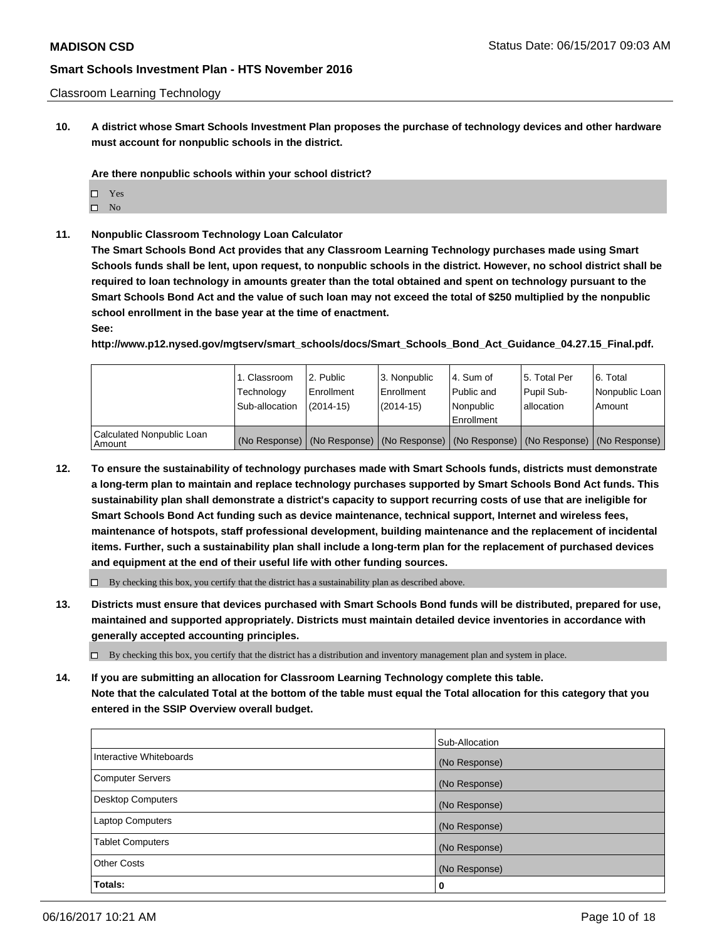Classroom Learning Technology

**10. A district whose Smart Schools Investment Plan proposes the purchase of technology devices and other hardware must account for nonpublic schools in the district.**

**Are there nonpublic schools within your school district?**

- □ Yes
- $\square$  No
- **11. Nonpublic Classroom Technology Loan Calculator**

**The Smart Schools Bond Act provides that any Classroom Learning Technology purchases made using Smart Schools funds shall be lent, upon request, to nonpublic schools in the district. However, no school district shall be required to loan technology in amounts greater than the total obtained and spent on technology pursuant to the Smart Schools Bond Act and the value of such loan may not exceed the total of \$250 multiplied by the nonpublic school enrollment in the base year at the time of enactment.**

#### **See:**

**http://www.p12.nysed.gov/mgtserv/smart\_schools/docs/Smart\_Schools\_Bond\_Act\_Guidance\_04.27.15\_Final.pdf.**

|                                     | 1. Classroom<br>Technology<br>Sub-allocation | 2. Public<br>Enrollment<br>(2014-15) | 3. Nonpublic<br>Enrollment<br>(2014-15) | l 4. Sum of<br>Public and<br>l Nonpublic<br>Enrollment                                        | 15. Total Per<br>Pupil Sub-<br>l allocation | l 6. Total<br>Nonpublic Loan<br>l Amount |
|-------------------------------------|----------------------------------------------|--------------------------------------|-----------------------------------------|-----------------------------------------------------------------------------------------------|---------------------------------------------|------------------------------------------|
| Calculated Nonpublic Loan<br>Amount |                                              |                                      |                                         | (No Response)   (No Response)   (No Response)   (No Response)   (No Response)   (No Response) |                                             |                                          |

**12. To ensure the sustainability of technology purchases made with Smart Schools funds, districts must demonstrate a long-term plan to maintain and replace technology purchases supported by Smart Schools Bond Act funds. This sustainability plan shall demonstrate a district's capacity to support recurring costs of use that are ineligible for Smart Schools Bond Act funding such as device maintenance, technical support, Internet and wireless fees, maintenance of hotspots, staff professional development, building maintenance and the replacement of incidental items. Further, such a sustainability plan shall include a long-term plan for the replacement of purchased devices and equipment at the end of their useful life with other funding sources.**

 $\Box$  By checking this box, you certify that the district has a sustainability plan as described above.

**13. Districts must ensure that devices purchased with Smart Schools Bond funds will be distributed, prepared for use, maintained and supported appropriately. Districts must maintain detailed device inventories in accordance with generally accepted accounting principles.**

By checking this box, you certify that the district has a distribution and inventory management plan and system in place.

**14. If you are submitting an allocation for Classroom Learning Technology complete this table. Note that the calculated Total at the bottom of the table must equal the Total allocation for this category that you entered in the SSIP Overview overall budget.**

|                          | Sub-Allocation |
|--------------------------|----------------|
| Interactive Whiteboards  | (No Response)  |
| <b>Computer Servers</b>  | (No Response)  |
| <b>Desktop Computers</b> | (No Response)  |
| <b>Laptop Computers</b>  | (No Response)  |
| <b>Tablet Computers</b>  | (No Response)  |
| Other Costs              | (No Response)  |
| Totals:                  | 0              |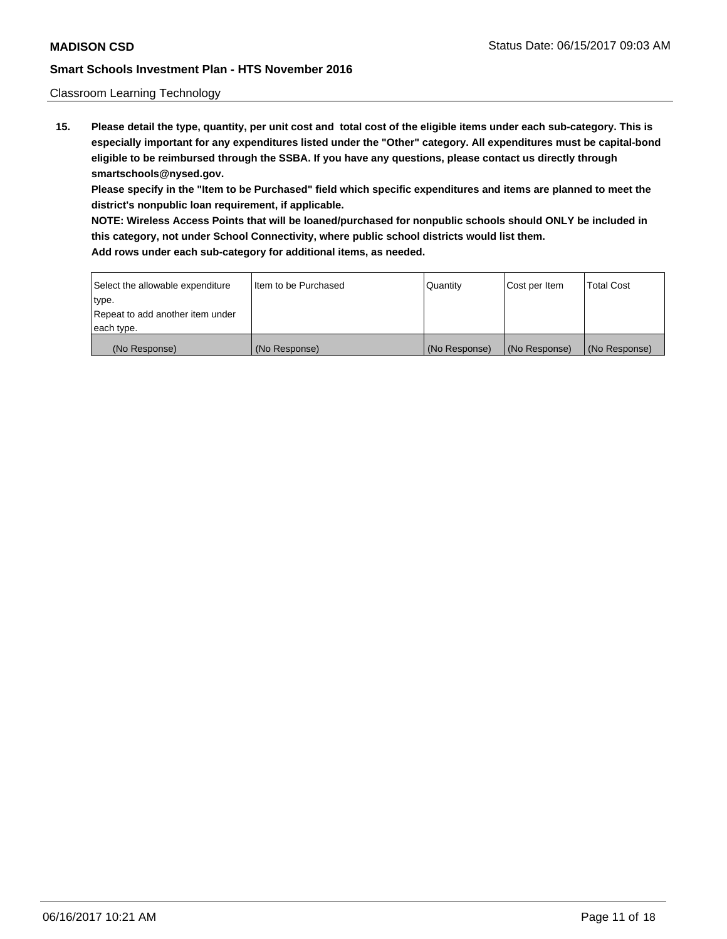#### Classroom Learning Technology

**15. Please detail the type, quantity, per unit cost and total cost of the eligible items under each sub-category. This is especially important for any expenditures listed under the "Other" category. All expenditures must be capital-bond eligible to be reimbursed through the SSBA. If you have any questions, please contact us directly through smartschools@nysed.gov.**

**Please specify in the "Item to be Purchased" field which specific expenditures and items are planned to meet the district's nonpublic loan requirement, if applicable.**

**NOTE: Wireless Access Points that will be loaned/purchased for nonpublic schools should ONLY be included in this category, not under School Connectivity, where public school districts would list them.**

| Select the allowable expenditure | I Item to be Purchased | Quantity      | Cost per Item | <b>Total Cost</b> |
|----------------------------------|------------------------|---------------|---------------|-------------------|
| type.                            |                        |               |               |                   |
| Repeat to add another item under |                        |               |               |                   |
| each type.                       |                        |               |               |                   |
| (No Response)                    | (No Response)          | (No Response) | (No Response) | (No Response)     |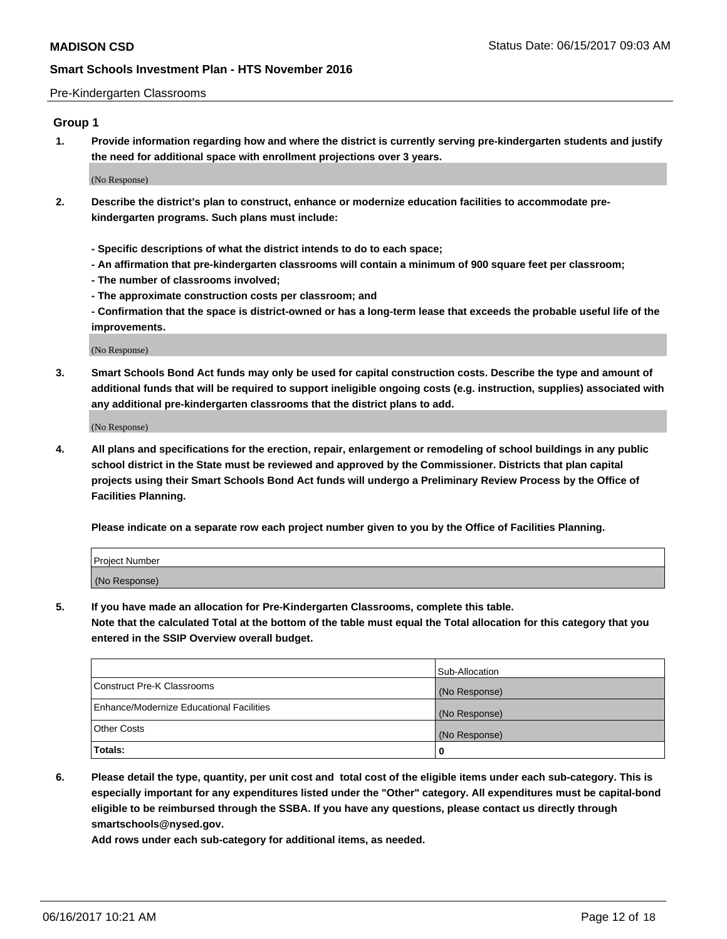#### Pre-Kindergarten Classrooms

# **Group 1**

**1. Provide information regarding how and where the district is currently serving pre-kindergarten students and justify the need for additional space with enrollment projections over 3 years.**

(No Response)

- **2. Describe the district's plan to construct, enhance or modernize education facilities to accommodate prekindergarten programs. Such plans must include:**
	- **Specific descriptions of what the district intends to do to each space;**
	- **An affirmation that pre-kindergarten classrooms will contain a minimum of 900 square feet per classroom;**
	- **The number of classrooms involved;**
	- **The approximate construction costs per classroom; and**

**- Confirmation that the space is district-owned or has a long-term lease that exceeds the probable useful life of the improvements.**

(No Response)

**3. Smart Schools Bond Act funds may only be used for capital construction costs. Describe the type and amount of additional funds that will be required to support ineligible ongoing costs (e.g. instruction, supplies) associated with any additional pre-kindergarten classrooms that the district plans to add.**

(No Response)

**4. All plans and specifications for the erection, repair, enlargement or remodeling of school buildings in any public school district in the State must be reviewed and approved by the Commissioner. Districts that plan capital projects using their Smart Schools Bond Act funds will undergo a Preliminary Review Process by the Office of Facilities Planning.**

**Please indicate on a separate row each project number given to you by the Office of Facilities Planning.**

| Project Number |  |
|----------------|--|
| (No Response)  |  |

**5. If you have made an allocation for Pre-Kindergarten Classrooms, complete this table.**

**Note that the calculated Total at the bottom of the table must equal the Total allocation for this category that you entered in the SSIP Overview overall budget.**

|                                          | Sub-Allocation |
|------------------------------------------|----------------|
| Construct Pre-K Classrooms               | (No Response)  |
| Enhance/Modernize Educational Facilities | (No Response)  |
| Other Costs                              | (No Response)  |
| Totals:                                  | 0              |

**6. Please detail the type, quantity, per unit cost and total cost of the eligible items under each sub-category. This is especially important for any expenditures listed under the "Other" category. All expenditures must be capital-bond eligible to be reimbursed through the SSBA. If you have any questions, please contact us directly through smartschools@nysed.gov.**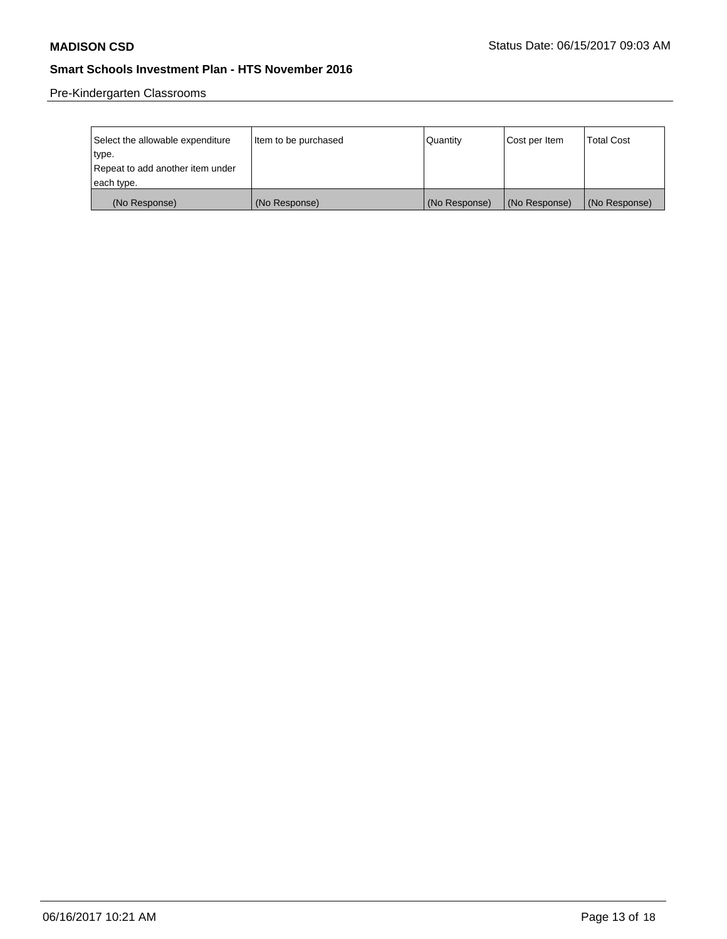Pre-Kindergarten Classrooms

| Select the allowable expenditure<br>type. | Item to be purchased | Quantity      | Cost per Item | <b>Total Cost</b> |
|-------------------------------------------|----------------------|---------------|---------------|-------------------|
| Repeat to add another item under          |                      |               |               |                   |
| each type.                                |                      |               |               |                   |
| (No Response)                             | (No Response)        | (No Response) | (No Response) | (No Response)     |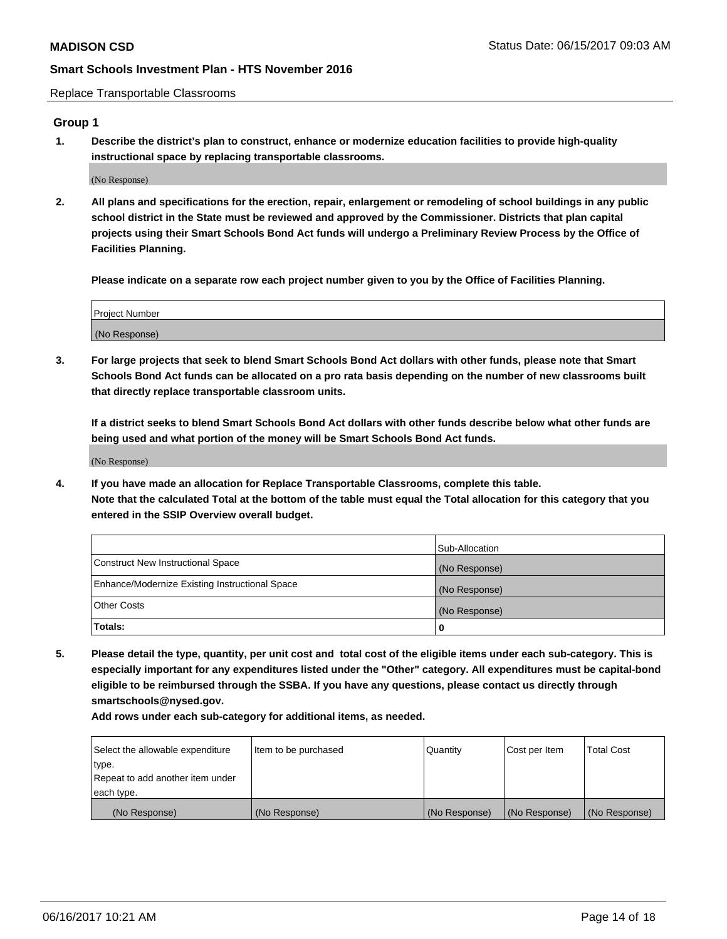Replace Transportable Classrooms

# **Group 1**

**1. Describe the district's plan to construct, enhance or modernize education facilities to provide high-quality instructional space by replacing transportable classrooms.**

(No Response)

**2. All plans and specifications for the erection, repair, enlargement or remodeling of school buildings in any public school district in the State must be reviewed and approved by the Commissioner. Districts that plan capital projects using their Smart Schools Bond Act funds will undergo a Preliminary Review Process by the Office of Facilities Planning.**

**Please indicate on a separate row each project number given to you by the Office of Facilities Planning.**

| Project Number |  |
|----------------|--|
| (No Response)  |  |

**3. For large projects that seek to blend Smart Schools Bond Act dollars with other funds, please note that Smart Schools Bond Act funds can be allocated on a pro rata basis depending on the number of new classrooms built that directly replace transportable classroom units.**

**If a district seeks to blend Smart Schools Bond Act dollars with other funds describe below what other funds are being used and what portion of the money will be Smart Schools Bond Act funds.**

(No Response)

**4. If you have made an allocation for Replace Transportable Classrooms, complete this table. Note that the calculated Total at the bottom of the table must equal the Total allocation for this category that you entered in the SSIP Overview overall budget.**

|                                                | Sub-Allocation |
|------------------------------------------------|----------------|
| Construct New Instructional Space              | (No Response)  |
| Enhance/Modernize Existing Instructional Space | (No Response)  |
| Other Costs                                    | (No Response)  |
| Totals:                                        | 0              |

**5. Please detail the type, quantity, per unit cost and total cost of the eligible items under each sub-category. This is especially important for any expenditures listed under the "Other" category. All expenditures must be capital-bond eligible to be reimbursed through the SSBA. If you have any questions, please contact us directly through smartschools@nysed.gov.**

| Select the allowable expenditure | Item to be purchased | Quantity      | Cost per Item | <b>Total Cost</b> |
|----------------------------------|----------------------|---------------|---------------|-------------------|
| type.                            |                      |               |               |                   |
| Repeat to add another item under |                      |               |               |                   |
| each type.                       |                      |               |               |                   |
| (No Response)                    | (No Response)        | (No Response) | (No Response) | (No Response)     |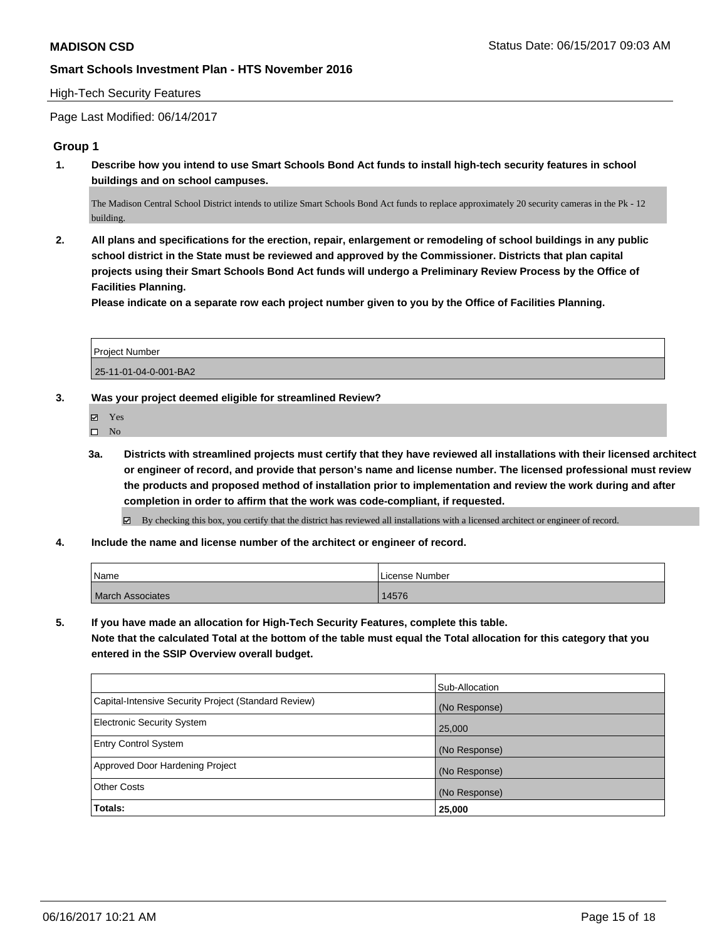#### High-Tech Security Features

Page Last Modified: 06/14/2017

### **Group 1**

**1. Describe how you intend to use Smart Schools Bond Act funds to install high-tech security features in school buildings and on school campuses.**

The Madison Central School District intends to utilize Smart Schools Bond Act funds to replace approximately 20 security cameras in the Pk - 12 building.

**2. All plans and specifications for the erection, repair, enlargement or remodeling of school buildings in any public school district in the State must be reviewed and approved by the Commissioner. Districts that plan capital projects using their Smart Schools Bond Act funds will undergo a Preliminary Review Process by the Office of Facilities Planning.** 

**Please indicate on a separate row each project number given to you by the Office of Facilities Planning.**

| <b>Project Number</b> |  |
|-----------------------|--|
| 25-11-01-04-0-001-BA2 |  |

### **3. Was your project deemed eligible for streamlined Review?**

| I<br>✔ |  |
|--------|--|
|        |  |

- $\hfill \square$  <br> No
- **3a. Districts with streamlined projects must certify that they have reviewed all installations with their licensed architect or engineer of record, and provide that person's name and license number. The licensed professional must review the products and proposed method of installation prior to implementation and review the work during and after completion in order to affirm that the work was code-compliant, if requested.**

By checking this box, you certify that the district has reviewed all installations with a licensed architect or engineer of record.

**4. Include the name and license number of the architect or engineer of record.**

| 'Name                   | License Number |
|-------------------------|----------------|
| <b>March Associates</b> | 14576          |

**5. If you have made an allocation for High-Tech Security Features, complete this table.**

**Note that the calculated Total at the bottom of the table must equal the Total allocation for this category that you entered in the SSIP Overview overall budget.**

|                                                      | Sub-Allocation |
|------------------------------------------------------|----------------|
| Capital-Intensive Security Project (Standard Review) | (No Response)  |
| <b>Electronic Security System</b>                    | 25,000         |
| <b>Entry Control System</b>                          | (No Response)  |
| Approved Door Hardening Project                      | (No Response)  |
| <b>Other Costs</b>                                   | (No Response)  |
| Totals:                                              | 25,000         |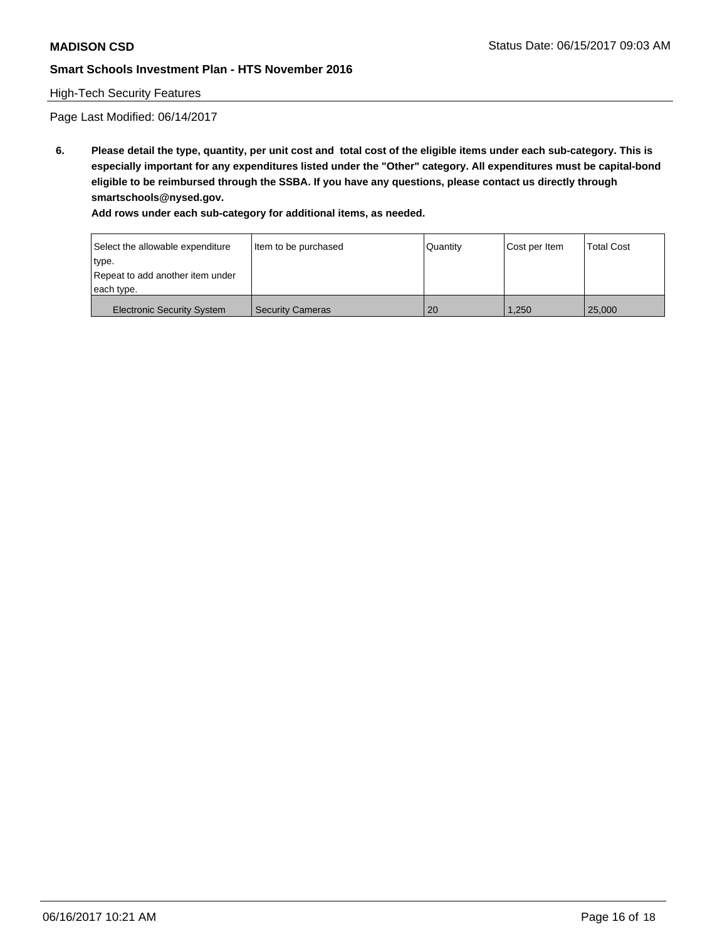# High-Tech Security Features

Page Last Modified: 06/14/2017

**6. Please detail the type, quantity, per unit cost and total cost of the eligible items under each sub-category. This is especially important for any expenditures listed under the "Other" category. All expenditures must be capital-bond eligible to be reimbursed through the SSBA. If you have any questions, please contact us directly through smartschools@nysed.gov.**

| Select the allowable expenditure  | Item to be purchased    | Quantity | Cost per Item | <b>Total Cost</b> |
|-----------------------------------|-------------------------|----------|---------------|-------------------|
| type.                             |                         |          |               |                   |
| Repeat to add another item under  |                         |          |               |                   |
| each type.                        |                         |          |               |                   |
| <b>Electronic Security System</b> | <b>Security Cameras</b> | 20       | 1.250         | 25,000            |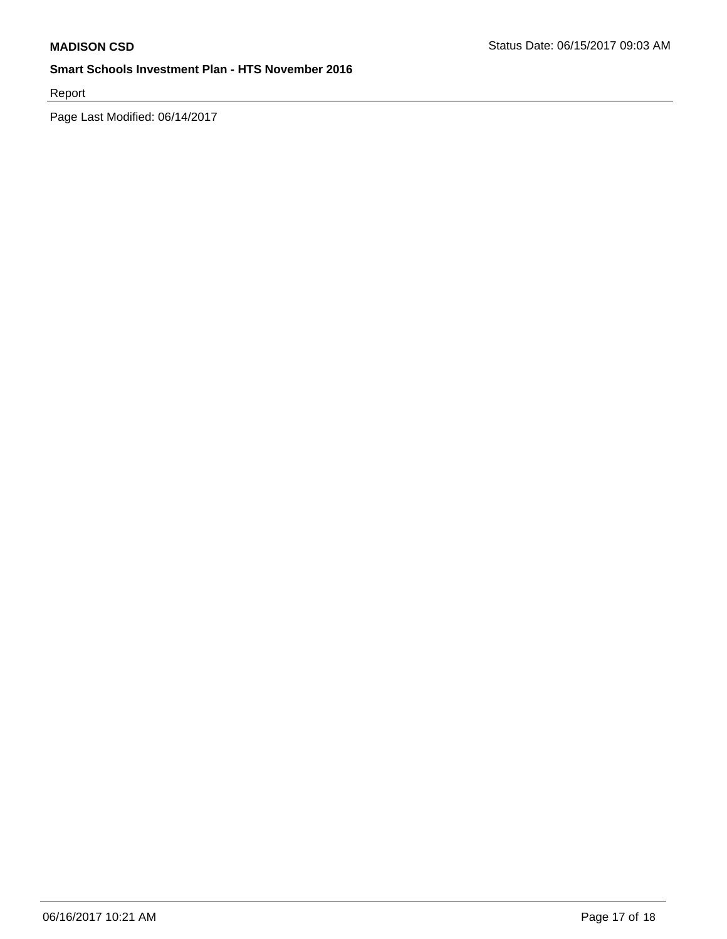Report

Page Last Modified: 06/14/2017